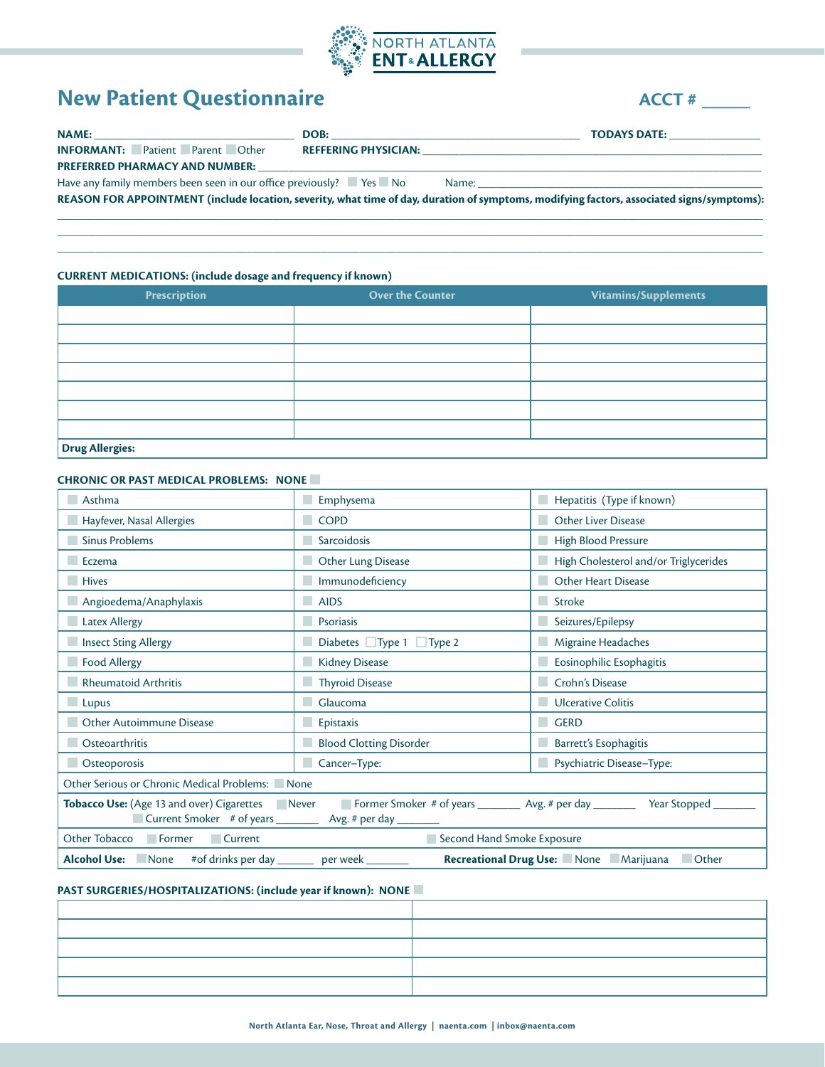

# **New Patient Questionnaire ACCT #** \_\_\_\_\_

| <b>NAME:</b>                                                                                     | DOB:                        |                                                                                                                                            |
|--------------------------------------------------------------------------------------------------|-----------------------------|--------------------------------------------------------------------------------------------------------------------------------------------|
| <b>INFORMANT:</b> Patient Parent Other                                                           | <b>REFFERING PHYSICIAN:</b> | <u> 1980 - Jan James James Jan James James James James James James James James James James James James James Jam</u>                       |
| <b>PREFERRED PHARMACY AND NUMBER:</b>                                                            |                             |                                                                                                                                            |
| Have any family members been seen in our office previously? $\blacksquare$ Yes $\blacksquare$ No |                             |                                                                                                                                            |
|                                                                                                  |                             | REASON FOR APPOINTMENT (include location, severity, what time of day, duration of symptoms, modifying factors, associated signs/symptoms): |
|                                                                                                  |                             |                                                                                                                                            |

 $\_$  , and the set of the set of the set of the set of the set of the set of the set of the set of the set of the set of the set of the set of the set of the set of the set of the set of the set of the set of the set of th \_\_\_\_\_\_\_\_\_\_\_\_\_\_\_\_\_\_\_\_\_\_\_\_\_\_\_\_\_\_\_\_\_\_\_\_\_\_\_\_\_\_\_\_\_\_\_\_\_\_\_\_\_\_\_\_\_\_\_\_\_\_\_\_\_\_\_\_\_\_\_\_\_\_\_\_\_\_\_\_\_\_\_\_\_\_\_\_\_\_\_\_\_\_\_\_\_\_\_\_\_\_\_\_\_\_\_\_\_\_\_\_\_\_\_\_\_\_\_\_\_\_\_\_\_\_\_\_\_\_\_

# **CURRENT MEDICATIONS: (include dosage and frequency if known)**

| Prescription    | <b>Over the Counter</b> | Vitamins/Supplements |  |
|-----------------|-------------------------|----------------------|--|
|                 |                         |                      |  |
|                 |                         |                      |  |
|                 |                         |                      |  |
|                 |                         |                      |  |
|                 |                         |                      |  |
|                 |                         |                      |  |
|                 |                         |                      |  |
| Drug Allergies: |                         |                      |  |

#### **CHRONIC OR PAST MEDICAL PROBLEMS: NONE**

| Asthma                                                                                                                                                                                         | Hepatitis (Type if known)<br>Emphysema |                                                       |  |
|------------------------------------------------------------------------------------------------------------------------------------------------------------------------------------------------|----------------------------------------|-------------------------------------------------------|--|
| Hayfever, Nasal Allergies                                                                                                                                                                      | $\Box$ COPD                            | <b>Other Liver Disease</b>                            |  |
| <b>Sinus Problems</b>                                                                                                                                                                          | Sarcoidosis                            | High Blood Pressure                                   |  |
| Eczema                                                                                                                                                                                         | Other Lung Disease                     | High Cholesterol and/or Triglycerides                 |  |
| <b>Hives</b>                                                                                                                                                                                   | <b>Immunodeficiency</b>                | <b>Other Heart Disease</b>                            |  |
| Angioedema/Anaphylaxis                                                                                                                                                                         | $\blacksquare$ AIDS                    | <b>Stroke</b>                                         |  |
| <b>Latex Allergy</b>                                                                                                                                                                           | Psoriasis                              | Seizures/Epilepsy                                     |  |
| Insect Sting Allergy                                                                                                                                                                           | Diabetes $\Box$ Type 1 $\Box$ Type 2   | Migraine Headaches                                    |  |
| Food Allergy                                                                                                                                                                                   | Kidney Disease                         | <b>Eosinophilic Esophagitis</b>                       |  |
| Rheumatoid Arthritis                                                                                                                                                                           | Thyroid Disease                        | Crohn's Disease                                       |  |
| Lupus                                                                                                                                                                                          | Glaucoma                               | Ulcerative Colitis                                    |  |
| <b>Other Autoimmune Disease</b>                                                                                                                                                                | $E$ pistaxis                           | <b>GERD</b>                                           |  |
| Osteoarthritis                                                                                                                                                                                 | <b>Blood Clotting Disorder</b>         | Barrett's Esophagitis                                 |  |
| <b>C</b> steoporosis                                                                                                                                                                           | Cancer-Type:                           | Psychiatric Disease-Type:                             |  |
| Other Serious or Chronic Medical Problems: None                                                                                                                                                |                                        |                                                       |  |
| Tobacco Use: (Age 13 and over) Cigarettes Never Former Smoker # of years _________ Avg. # per day _________ Year Stopped ___<br>Current Smoker # of years ____________ Avg. # per day ________ |                                        |                                                       |  |
| Other Tobacco   Former   Current                                                                                                                                                               | Second Hand Smoke Exposure             |                                                       |  |
| Alcohol Use: None #of drinks per day _________ per week ________                                                                                                                               |                                        | Recreational Drug Use: None Marijuana<br><b>Other</b> |  |

# **PAST SURGERIES/HOSPITALIZATIONS: (include year if known): NONE**